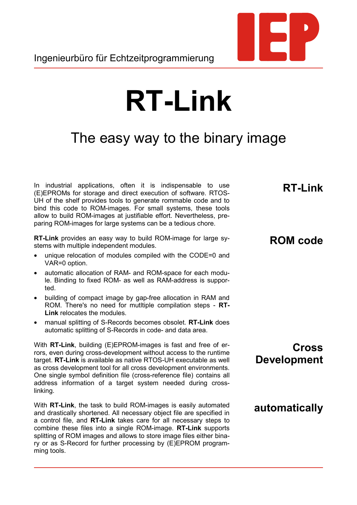

## **RT-Link**

## The easy way to the binary image

In industrial applications, often it is indispensable to use (E)EPROMs for storage and direct execution of software. RTOS-UH of the shelf provides tools to generate rommable code and to bind this code to ROM-images. For small systems, these tools allow to build ROM-images at justifiable effort. Nevertheless, preparing ROM-images for large systems can be a tedious chore.

**RT-Link** provides an easy way to build ROM-image for large systems with multiple independent modules.

- unique relocation of modules compiled with the CODE=0 and VAR=0 option.
- automatic allocation of RAM- and ROM-space for each module. Binding to fixed ROM- as well as RAM-address is supported.
- building of compact image by gap-free allocation in RAM and ROM. There's no need for mutltiple compilation steps - **RT-Link** relocates the modules.
- manual splitting of S-Records becomes obsolet. **RT-Link** does automatic splitting of S-Records in code- and data area.

With **RT-Link**, building (E)EPROM-images is fast and free of errors, even during cross-development without access to the runtime target. **RT-Link** is available as native RTOS-UH executable as well as cross development tool for all cross development environments. One single symbol definition file (cross-reference file) contains all address information of a target system needed during crosslinking.

With **RT-Link**, the task to build ROM-images is easily automated and drastically shortened. All necessary object file are specified in a control file, and **RT-Link** takes care for all necessary steps to combine these files into a single ROM-image. **RT-Link** supports splitting of ROM images and allows to store image files either binary or as S-Record for further processing by (E)EPROM programming tools.

**RT-Link**

## **ROM code**

**Cross Development**

**automatically**